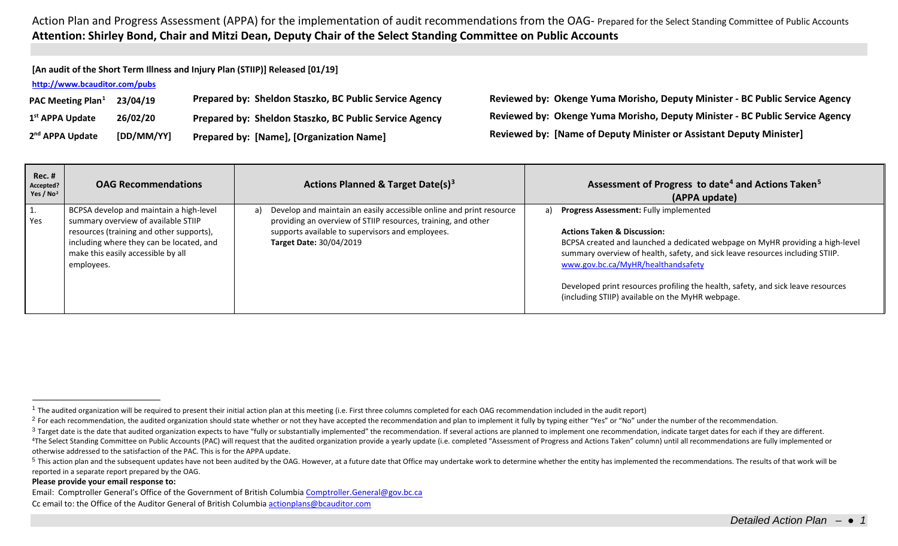**[An audit of the Short Term Illness and Injury Plan (STIIP)] Released [01/19]**

### **<http://www.bcauditor.com/pubs>**

| PAC Meeting Plan <sup>1</sup> | 23/04/19   | Prepared by: Sheldon Staszko, BC Public Service Agency |
|-------------------------------|------------|--------------------------------------------------------|
| 1 <sup>st</sup> APPA Update   | 26/02/20   | Prepared by: Sheldon Staszko, BC Public Service Agency |
| 2 <sup>nd</sup> APPA Update   | [DD/MM/YY] | Prepared by: [Name], [Organization Name]               |

<span id="page-0-4"></span><span id="page-0-3"></span><span id="page-0-2"></span><span id="page-0-1"></span><span id="page-0-0"></span>**PAC Meeting Plan[1](#page-0-0) 23/04/19 Prepared by: Sheldon Staszko, BC Public Service Agency Reviewed by: Okenge Yuma Morisho, Deputy Minister - BC Public Service Agency 1st APPA Update 26/02/20 Prepared by: Sheldon Staszko, BC Public Service Agency Reviewed by: Okenge Yuma Morisho, Deputy Minister - BC Public Service Agency 2nd APPA Update [DD/MM/YY] Prepared by: [Name], [Organization Name] Reviewed by: [Name of Deputy Minister or Assistant Deputy Minister]**

| Rec. #<br>Accepted?<br>Yes / $No2$ | <b>OAG Recommendations</b>                                                                                                                                                                                                 | Actions Planned & Target Date(s) <sup>3</sup>                                                                                                                                                                                    | Assessment of Progress to date <sup>4</sup> and Actions Taken <sup>5</sup><br>(APPA update)                                                                                                                                                                                                                                                                                                                                                   |
|------------------------------------|----------------------------------------------------------------------------------------------------------------------------------------------------------------------------------------------------------------------------|----------------------------------------------------------------------------------------------------------------------------------------------------------------------------------------------------------------------------------|-----------------------------------------------------------------------------------------------------------------------------------------------------------------------------------------------------------------------------------------------------------------------------------------------------------------------------------------------------------------------------------------------------------------------------------------------|
| π.<br>Yes                          | BCPSA develop and maintain a high-level<br>summary overview of available STIIP<br>resources (training and other supports),<br>including where they can be located, and<br>make this easily accessible by all<br>employees. | Develop and maintain an easily accessible online and print resource<br>a)<br>providing an overview of STIIP resources, training, and other<br>supports available to supervisors and employees.<br><b>Target Date: 30/04/2019</b> | <b>Progress Assessment: Fully implemented</b><br>a)<br><b>Actions Taken &amp; Discussion:</b><br>BCPSA created and launched a dedicated webpage on MyHR providing a high-level<br>summary overview of health, safety, and sick leave resources including STIIP.<br>www.gov.bc.ca/MyHR/healthandsafety<br>Developed print resources profiling the health, safety, and sick leave resources<br>(including STIIP) available on the MyHR webpage. |

#### **Please provide your email response to:**

Email: Comptroller General's Office of the Government of British Columbi[a Comptroller.General@gov.bc.ca](mailto:Comptroller.General@gov.bc.ca) Cc email to: the Office of the Auditor General of British Columbi[a actionplans@bcauditor.com](mailto:actionplans@bcauditor.com)

 $1$  The audited organization will be required to present their initial action plan at this meeting (i.e. First three columns completed for each OAG recommendation included in the audit report)

<sup>&</sup>lt;sup>2</sup> For each recommendation, the audited organization should state whether or not they have accepted the recommendation and plan to implement it fully by typing either "Yes" or "No" under the number of the recommendation.

<sup>&</sup>lt;sup>3</sup> Target date is the date that audited organization expects to have "fully or substantially implemented" the recommendation. If several actions are planned to implement one recommendation, indicate target dates for each <sup>4</sup>The Select Standing Committee on Public Accounts (PAC) will request that the audited organization provide a yearly update (i.e. completed "Assessment of Progress and Actions Taken" column) until all recommendations are otherwise addressed to the satisfaction of the PAC. This is for the APPA update.

<sup>&</sup>lt;sup>5</sup> This action plan and the subsequent updates have not been audited by the OAG. However, at a future date that Office may undertake work to determine whether the entity has implemented the recommendations. The results of reported in a separate report prepared by the OAG.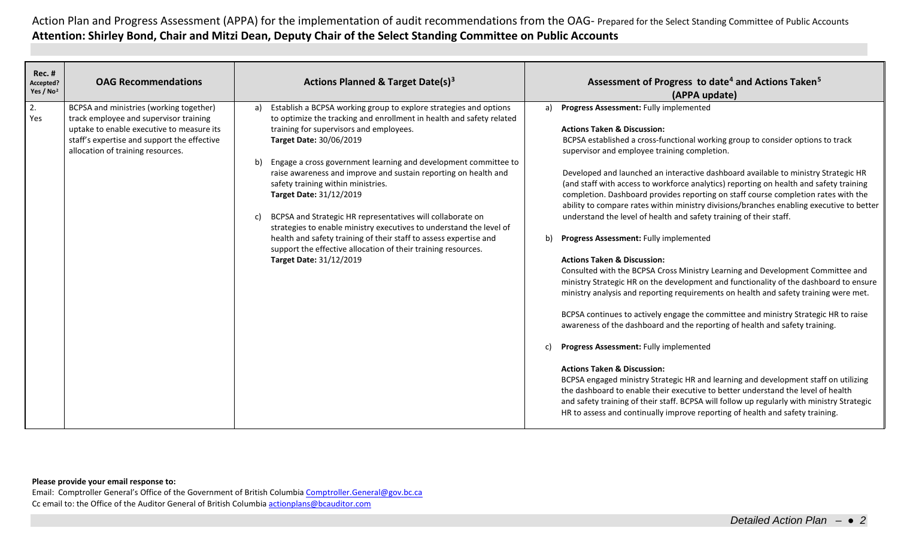| <b>Rec. #</b><br>Accepted?<br>Yes / $No2$ | <b>OAG Recommendations</b>                                                                                                                                                                                         | <b>Actions Planned &amp; Target Date(s)3</b>                                                                                                                                                                                                                                                                                                                                                                                                                                                                                                                                                                                                                                                                                                   | Assessment of Progress to date <sup>4</sup> and Actions Taken <sup>5</sup><br>(APPA update)                                                                                                                                                                                                                                                                                                                                                                                                                                                                                                                                                                                                                                                                                                                                                                                                                                                                                                                                                                                                                                                                                                                                                                                                                                                                                                                                                                                                                                                                                                                                                              |
|-------------------------------------------|--------------------------------------------------------------------------------------------------------------------------------------------------------------------------------------------------------------------|------------------------------------------------------------------------------------------------------------------------------------------------------------------------------------------------------------------------------------------------------------------------------------------------------------------------------------------------------------------------------------------------------------------------------------------------------------------------------------------------------------------------------------------------------------------------------------------------------------------------------------------------------------------------------------------------------------------------------------------------|----------------------------------------------------------------------------------------------------------------------------------------------------------------------------------------------------------------------------------------------------------------------------------------------------------------------------------------------------------------------------------------------------------------------------------------------------------------------------------------------------------------------------------------------------------------------------------------------------------------------------------------------------------------------------------------------------------------------------------------------------------------------------------------------------------------------------------------------------------------------------------------------------------------------------------------------------------------------------------------------------------------------------------------------------------------------------------------------------------------------------------------------------------------------------------------------------------------------------------------------------------------------------------------------------------------------------------------------------------------------------------------------------------------------------------------------------------------------------------------------------------------------------------------------------------------------------------------------------------------------------------------------------------|
| 2.<br>Yes                                 | BCPSA and ministries (working together)<br>track employee and supervisor training<br>uptake to enable executive to measure its<br>staff's expertise and support the effective<br>allocation of training resources. | Establish a BCPSA working group to explore strategies and options<br>a)<br>to optimize the tracking and enrollment in health and safety related<br>training for supervisors and employees.<br>Target Date: 30/06/2019<br>Engage a cross government learning and development committee to<br>b)<br>raise awareness and improve and sustain reporting on health and<br>safety training within ministries.<br>Target Date: 31/12/2019<br>BCPSA and Strategic HR representatives will collaborate on<br>C)<br>strategies to enable ministry executives to understand the level of<br>health and safety training of their staff to assess expertise and<br>support the effective allocation of their training resources.<br>Target Date: 31/12/2019 | Progress Assessment: Fully implemented<br>a)<br><b>Actions Taken &amp; Discussion:</b><br>BCPSA established a cross-functional working group to consider options to track<br>supervisor and employee training completion.<br>Developed and launched an interactive dashboard available to ministry Strategic HR<br>(and staff with access to workforce analytics) reporting on health and safety training<br>completion. Dashboard provides reporting on staff course completion rates with the<br>ability to compare rates within ministry divisions/branches enabling executive to better<br>understand the level of health and safety training of their staff.<br>Progress Assessment: Fully implemented<br>b)<br><b>Actions Taken &amp; Discussion:</b><br>Consulted with the BCPSA Cross Ministry Learning and Development Committee and<br>ministry Strategic HR on the development and functionality of the dashboard to ensure<br>ministry analysis and reporting requirements on health and safety training were met.<br>BCPSA continues to actively engage the committee and ministry Strategic HR to raise<br>awareness of the dashboard and the reporting of health and safety training.<br>Progress Assessment: Fully implemented<br>c)<br><b>Actions Taken &amp; Discussion:</b><br>BCPSA engaged ministry Strategic HR and learning and development staff on utilizing<br>the dashboard to enable their executive to better understand the level of health<br>and safety training of their staff. BCPSA will follow up regularly with ministry Strategic<br>HR to assess and continually improve reporting of health and safety training. |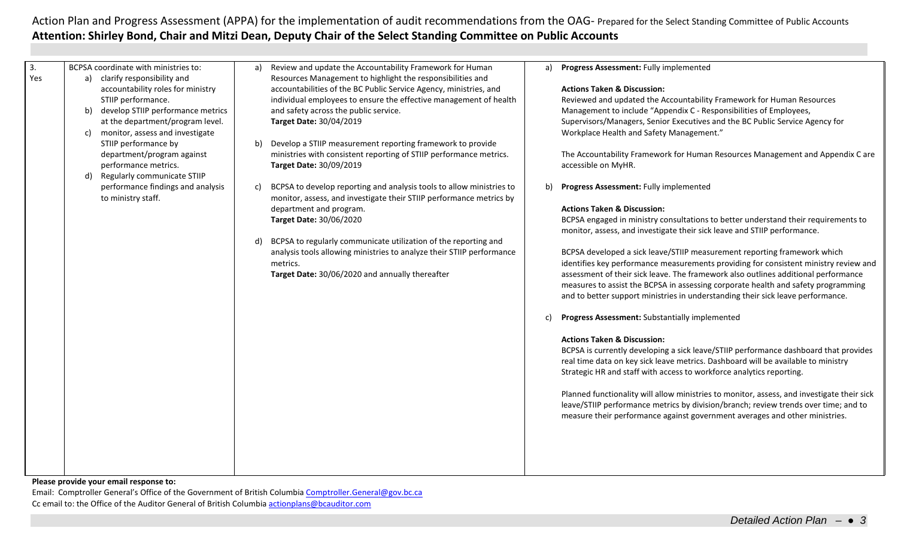| 3.<br>Yes | BCPSA coordinate with ministries to:<br>a) clarify responsibility and<br>accountability roles for ministry<br>STIIP performance.<br>develop STIIP performance metrics<br>b)<br>at the department/program level.<br>monitor, assess and investigate<br>C)<br>STIIP performance by<br>department/program against<br>performance metrics.<br>Regularly communicate STIIP<br>d) | Review and update the Accountability Framework for Human<br>Progress Assessment: Fully implemented<br>a)<br>a)<br>Resources Management to highlight the responsibilities and<br>accountabilities of the BC Public Service Agency, ministries, and<br><b>Actions Taken &amp; Discussion:</b><br>Reviewed and updated the Accountability Framework for Human Resources<br>individual employees to ensure the effective management of health<br>and safety across the public service.<br>Management to include "Appendix C - Responsibilities of Employees,<br>Supervisors/Managers, Senior Executives and the BC Public Service Agency for<br>Target Date: 30/04/2019<br>Workplace Health and Safety Management."<br>Develop a STIIP measurement reporting framework to provide<br>b)<br>ministries with consistent reporting of STIIP performance metrics.<br>The Accountability Framework for Human Resources Management and Appendix C are<br>Target Date: 30/09/2019<br>accessible on MyHR.                                                                                                                                                                                                                                                                                                                                                                                                                                                                                                                                                                                                                                                                                                                                                     |
|-----------|-----------------------------------------------------------------------------------------------------------------------------------------------------------------------------------------------------------------------------------------------------------------------------------------------------------------------------------------------------------------------------|---------------------------------------------------------------------------------------------------------------------------------------------------------------------------------------------------------------------------------------------------------------------------------------------------------------------------------------------------------------------------------------------------------------------------------------------------------------------------------------------------------------------------------------------------------------------------------------------------------------------------------------------------------------------------------------------------------------------------------------------------------------------------------------------------------------------------------------------------------------------------------------------------------------------------------------------------------------------------------------------------------------------------------------------------------------------------------------------------------------------------------------------------------------------------------------------------------------------------------------------------------------------------------------------------------------------------------------------------------------------------------------------------------------------------------------------------------------------------------------------------------------------------------------------------------------------------------------------------------------------------------------------------------------------------------------------------------------------------------------------------|
|           | performance findings and analysis<br>to ministry staff.                                                                                                                                                                                                                                                                                                                     | BCPSA to develop reporting and analysis tools to allow ministries to<br>b)<br>Progress Assessment: Fully implemented<br>c)<br>monitor, assess, and investigate their STIIP performance metrics by<br>department and program.<br><b>Actions Taken &amp; Discussion:</b><br>Target Date: 30/06/2020<br>BCPSA engaged in ministry consultations to better understand their requirements to<br>monitor, assess, and investigate their sick leave and STIIP performance.<br>BCPSA to regularly communicate utilization of the reporting and<br>d)<br>analysis tools allowing ministries to analyze their STIIP performance<br>BCPSA developed a sick leave/STIIP measurement reporting framework which<br>identifies key performance measurements providing for consistent ministry review and<br>metrics.<br>Target Date: 30/06/2020 and annually thereafter<br>assessment of their sick leave. The framework also outlines additional performance<br>measures to assist the BCPSA in assessing corporate health and safety programming<br>and to better support ministries in understanding their sick leave performance.<br>Progress Assessment: Substantially implemented<br>c)<br><b>Actions Taken &amp; Discussion:</b><br>BCPSA is currently developing a sick leave/STIIP performance dashboard that provides<br>real time data on key sick leave metrics. Dashboard will be available to ministry<br>Strategic HR and staff with access to workforce analytics reporting.<br>Planned functionality will allow ministries to monitor, assess, and investigate their sick<br>leave/STIIP performance metrics by division/branch; review trends over time; and to<br>measure their performance against government averages and other ministries. |

### **Please provide your email response to:**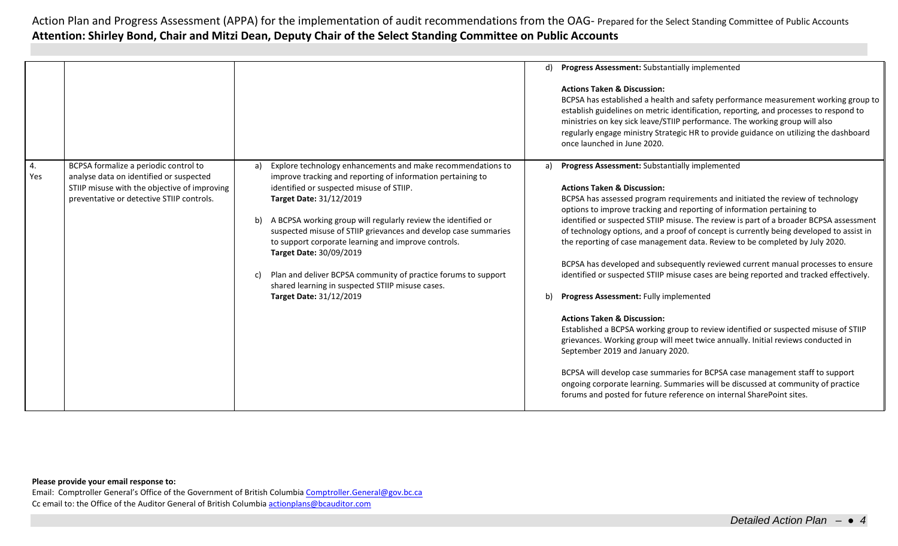|                  |                                                                                  |    |                                                                                                                                                          |    | d) Progress Assessment: Substantially implemented                                                                                                                                                                                                                                                                                                                                                                            |
|------------------|----------------------------------------------------------------------------------|----|----------------------------------------------------------------------------------------------------------------------------------------------------------|----|------------------------------------------------------------------------------------------------------------------------------------------------------------------------------------------------------------------------------------------------------------------------------------------------------------------------------------------------------------------------------------------------------------------------------|
|                  |                                                                                  |    |                                                                                                                                                          |    | <b>Actions Taken &amp; Discussion:</b><br>BCPSA has established a health and safety performance measurement working group to<br>establish guidelines on metric identification, reporting, and processes to respond to<br>ministries on key sick leave/STIIP performance. The working group will also<br>regularly engage ministry Strategic HR to provide guidance on utilizing the dashboard<br>once launched in June 2020. |
| 4.<br><b>Yes</b> | BCPSA formalize a periodic control to<br>analyse data on identified or suspected | a) | Explore technology enhancements and make recommendations to<br>improve tracking and reporting of information pertaining to                               | a) | <b>Progress Assessment: Substantially implemented</b>                                                                                                                                                                                                                                                                                                                                                                        |
|                  | STIIP misuse with the objective of improving                                     |    | identified or suspected misuse of STIIP.                                                                                                                 |    | <b>Actions Taken &amp; Discussion:</b>                                                                                                                                                                                                                                                                                                                                                                                       |
|                  | preventative or detective STIIP controls.                                        |    | Target Date: 31/12/2019                                                                                                                                  |    | BCPSA has assessed program requirements and initiated the review of technology<br>options to improve tracking and reporting of information pertaining to                                                                                                                                                                                                                                                                     |
|                  |                                                                                  | b) | A BCPSA working group will regularly review the identified or                                                                                            |    | identified or suspected STIIP misuse. The review is part of a broader BCPSA assessment                                                                                                                                                                                                                                                                                                                                       |
|                  |                                                                                  |    | suspected misuse of STIIP grievances and develop case summaries<br>to support corporate learning and improve controls.<br><b>Target Date: 30/09/2019</b> |    | of technology options, and a proof of concept is currently being developed to assist in<br>the reporting of case management data. Review to be completed by July 2020.                                                                                                                                                                                                                                                       |
|                  |                                                                                  |    |                                                                                                                                                          |    | BCPSA has developed and subsequently reviewed current manual processes to ensure                                                                                                                                                                                                                                                                                                                                             |
|                  |                                                                                  | C) | Plan and deliver BCPSA community of practice forums to support<br>shared learning in suspected STIIP misuse cases.                                       |    | identified or suspected STIIP misuse cases are being reported and tracked effectively.                                                                                                                                                                                                                                                                                                                                       |
|                  |                                                                                  |    | Target Date: 31/12/2019                                                                                                                                  | b) | Progress Assessment: Fully implemented                                                                                                                                                                                                                                                                                                                                                                                       |
|                  |                                                                                  |    |                                                                                                                                                          |    | <b>Actions Taken &amp; Discussion:</b>                                                                                                                                                                                                                                                                                                                                                                                       |
|                  |                                                                                  |    |                                                                                                                                                          |    | Established a BCPSA working group to review identified or suspected misuse of STIIP<br>grievances. Working group will meet twice annually. Initial reviews conducted in<br>September 2019 and January 2020.                                                                                                                                                                                                                  |
|                  |                                                                                  |    |                                                                                                                                                          |    | BCPSA will develop case summaries for BCPSA case management staff to support<br>ongoing corporate learning. Summaries will be discussed at community of practice<br>forums and posted for future reference on internal SharePoint sites.                                                                                                                                                                                     |
|                  |                                                                                  |    |                                                                                                                                                          |    |                                                                                                                                                                                                                                                                                                                                                                                                                              |

## **Please provide your email response to:**